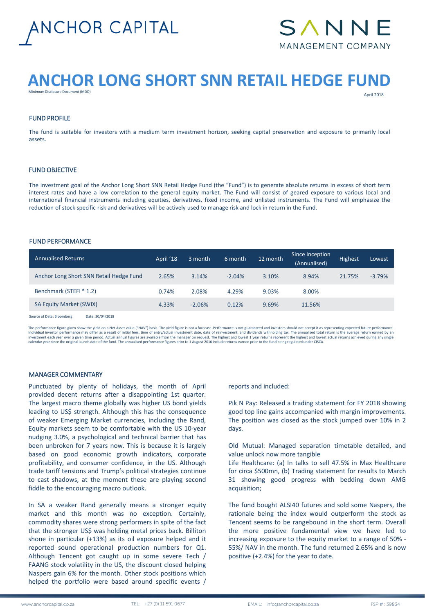



# **ANCHOR LONG SHORT SNN RETAIL HEDGE FUND**

Minimum Disclosure Document (MDD)

April 2018

# FUND PROFILE

The fund is suitable for investors with a medium term investment horizon, seeking capital preservation and exposure to primarily local assets.

# FUND OBJECTIVE

The investment goal of the Anchor Long Short SNN Retail Hedge Fund (the "Fund") is to generate absolute returns in excess of short term interest rates and have a low correlation to the general equity market. The Fund will consist of geared exposure to various local and international financial instruments including equities, derivatives, fixed income, and unlisted instruments. The Fund will emphasize the reduction of stock specific risk and derivatives will be actively used to manage risk and lock in return in the Fund.

#### FUND PERFORMANCE

| <b>Annualised Returns</b>               | April '18 | 3 month  | 6 month  | 12 month | Since Inception<br>(Annualised) | Highest | Lowest   |
|-----------------------------------------|-----------|----------|----------|----------|---------------------------------|---------|----------|
| Anchor Long Short SNN Retail Hedge Fund | 2.65%     | 3.14%    | $-2.04%$ | 3.10%    | 8.94%                           | 21.75%  | $-3.79%$ |
| Benchmark (STEFI * 1.2)                 | 0.74%     | 2.08%    | 4.29%    | 9.03%    | 8.00%                           |         |          |
| <b>SA Equity Market (SWIX)</b>          | 4.33%     | $-2.06%$ | 0.12%    | 9.69%    | 11.56%                          |         |          |
|                                         |           |          |          |          |                                 |         |          |

Source of Data: Bloomberg Date: 30/04/2018

The performance figure given show the yield on a Net Asset value ("NAV") basis. The yield figure is not a forecast. Performance is not guaranteed and investors should not accept it as representing expected future performan Individual investor performance may differ as a result of initial fees, time of entry/actual investment date, date of reinvestment, and dividends withholding tax. The annualised total return is the average return earned by

# MANAGER COMMENTARY

Punctuated by plenty of holidays, the month of April provided decent returns after a disappointing 1st quarter. The largest macro theme globally was higher US bond yields leading to US\$ strength. Although this has the consequence of weaker Emerging Market currencies, including the Rand, Equity markets seem to be comfortable with the US 10-year nudging 3.0%, a psychological and technical barrier that has been unbroken for 7 years now. This is because it is largely based on good economic growth indicators, corporate profitability, and consumer confidence, in the US. Although trade tariff tensions and Trump's political strategies continue to cast shadows, at the moment these are playing second fiddle to the encouraging macro outlook.

In SA a weaker Rand generally means a stronger equity market and this month was no exception. Certainly, commodity shares were strong performers in spite of the fact that the stronger US\$ was holding metal prices back. Billiton shone in particular (+13%) as its oil exposure helped and it reported sound operational production numbers for Q1. Although Tencent got caught up in some severe Tech / FAANG stock volatility in the US, the discount closed helping Naspers gain 6% for the month. Other stock positions which helped the portfolio were based around specific events /

reports and included:

Pik N Pay: Released a trading statement for FY 2018 showing good top line gains accompanied with margin improvements. The position was closed as the stock jumped over 10% in 2 days.

Old Mutual: Managed separation timetable detailed, and value unlock now more tangible

Life Healthcare: (a) In talks to sell 47.5% in Max Healthcare for circa \$500mn, (b) Trading statement for results to March 31 showing good progress with bedding down AMG acquisition;

The fund bought ALSI40 futures and sold some Naspers, the rationale being the index would outperform the stock as Tencent seems to be rangebound in the short term. Overall the more positive fundamental view we have led to increasing exposure to the equity market to a range of 50% - 55%/ NAV in the month. The fund returned 2.65% and is now positive (+2.4%) for the year to date.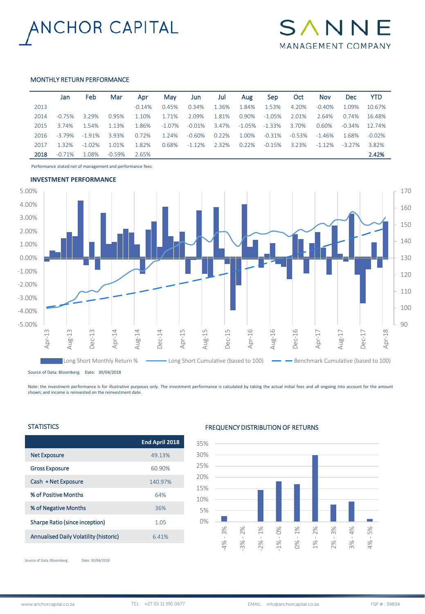



# MONTHLY RETURN PERFORMANCE

|      | Jan       | Feb       | Mar      | Apr       | May       | Jun       | Jul   | Aug    | <b>Sep</b> | Oct      | <b>Nov</b> | <b>Dec</b> | <b>YTD</b> |
|------|-----------|-----------|----------|-----------|-----------|-----------|-------|--------|------------|----------|------------|------------|------------|
| 2013 |           |           |          | $-0.14\%$ | 0.45%     | 0.34%     | 1.36% | 1.84%  | 1.53%      | 4.20%    | $-0.40%$   | 1.09%      | 10.67%     |
| 2014 | $-0.75%$  | 3.29%     | 0.95%    | 1.10%     | 1.71%     | 2.09%     | 1.81% | 0.90%  | $-1.05\%$  | 2.01%    | 2.64%      | 0.74%      | 16.48%     |
| 2015 | 3.74%     | 1.54%     | 1.13%    | 1.86%     | $-1.07\%$ | $-0.01\%$ | 3.47% | -1.05% | $-1.33\%$  | 3.70%    | 0.60%      | $-0.34\%$  | 12.74%     |
| 2016 | $-3.79\%$ | $-1.91%$  | 3.93%    | 0.72%     | 1.24%     | $-0.60\%$ | 0.22% | 1.00%  | $-0.31\%$  | $-0.53%$ | $-1.46%$   | 1.68%      | $-0.02\%$  |
| 2017 | 1.32%     | $-1.02\%$ | 1.01%    | 1.82%     | 0.68%     | -1.12%    | 2.32% | 0.22%  | -0.15%     | 3.23%    | $-1.12\%$  | $-3.27\%$  | 3.82%      |
| 2018 | $-0.71%$  | 1.08%     | $-0.59%$ | 2.65%     |           |           |       |        |            |          |            |            | 2.42%      |

Performance stated net of management and performance fees.



Source of Data: Bloomberg Date: 30/04/2018

Note: the investment performance is for illustrative purposes only. The investment performance is calculated by taking the actual initial fees and all ongoing into account for the amount shown; and income is reinvested on the reinvestment date.

# **STATISTICS**

|                                               | End April 2018 |
|-----------------------------------------------|----------------|
| <b>Net Exposure</b>                           | 49.13%         |
| <b>Gross Exposure</b>                         | 60.90%         |
| Cash + Net Exposure                           | 140.97%        |
| % of Positive Months                          | 64%            |
| % of Negative Months                          | 36%            |
| Sharpe Ratio (since inception)                | 1.05           |
| <b>Annualised Daily Volatility (historic)</b> | 6.41%          |
|                                               |                |

# FREQUENCY DISTRIBUTION OF RETURNS



Source of Data: Bloomberg Date: 30/04/2018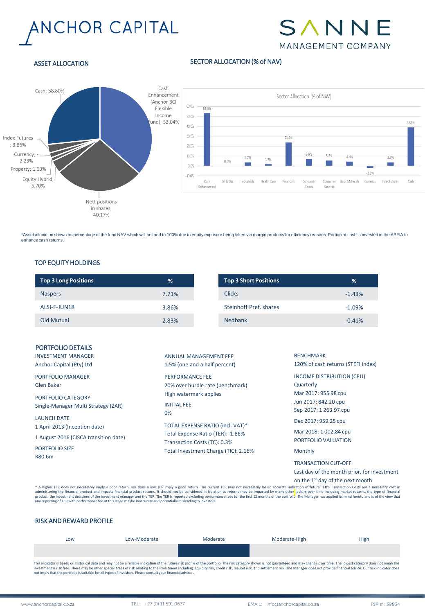# ANCHOR CAPITAL



# ASSET ALLOCATION

# SECTOR ALLOCATION (% of NAV)



\*Asset allocation shown as percentage of the fund NAV which will not add to 100% due to equity exposure being taken via margin products for efficiency reasons. Portion of cash is invested in the ABFIA to enhance cash returns.

# TOP EQUITY HOLDINGS

| <b>Top 3 Long Positions</b> | %     | <b>Top 3 Short Positions</b> |
|-----------------------------|-------|------------------------------|
| <b>Naspers</b>              | 7.71% | <b>Clicks</b>                |
| ALSI-F-JUN18                | 3.86% | Steinhoff Pref. shares       |
| <b>Old Mutual</b>           | 2.83% | Nedbank                      |

| PORTFOLIO DETAILS<br><b>INVESTMENT MANAGER</b><br>Anchor Capital (Pty) Ltd                                                                                                                                                             | ANNUAL MANAGEMENT FEE<br>1.5% (one and a half percent)                                                                                                                                                                                                           | <b>BENCHMARK</b><br>120% of cash returns (STEFI Index)                                                                                                                                                                                                                           |
|----------------------------------------------------------------------------------------------------------------------------------------------------------------------------------------------------------------------------------------|------------------------------------------------------------------------------------------------------------------------------------------------------------------------------------------------------------------------------------------------------------------|----------------------------------------------------------------------------------------------------------------------------------------------------------------------------------------------------------------------------------------------------------------------------------|
| <b>PORTFOLIO MANAGER</b><br>Glen Baker<br>PORTFOLIO CATEGORY<br>Single-Manager Multi Strategy (ZAR)<br><b>LAUNCH DATE</b><br>1 April 2013 (Inception date)<br>1 August 2016 (CISCA transition date)<br><b>PORTFOLIO SIZE</b><br>R80.6m | <b>PERFORMANCE FEE</b><br>20% over hurdle rate (benchmark)<br>High watermark applies<br><b>INITIAL FEE</b><br>0%<br>TOTAL EXPENSE RATIO (incl. VAT)*<br>Total Expense Ratio (TER): 1.86%<br>Transaction Costs (TC): 0.3%<br>Total Investment Charge (TIC): 2.16% | INCOME DISTRIBUTION (CPU)<br>Quarterly<br>Mar 2017: 955.98 cpu<br>Jun 2017: 842.20 cpu<br>Sep 2017: 1 263.97 cpu<br>Dec 2017: 959.25 cpu<br>Mar 2018: 1002.84 cpu<br>PORTFOLIO VALUATION<br>Monthly<br><b>TRANSACTION CUT-OFF</b><br>Last day of the month prior, for investment |

on the 1<sup>st</sup> day of the next month

\* A higher TER does not necessarily imply a poor return, nor does a low TER imply a good return. The current TER may not necessarily be an accurate indication of future TER's. Transaction Costs are a necessarly cost in<br>adm

# RISK AND REWARD PROFILE

| LOW | Low-Moderate                                                                                                                                                                                                                  | Moderate | Moderate-High | High |
|-----|-------------------------------------------------------------------------------------------------------------------------------------------------------------------------------------------------------------------------------|----------|---------------|------|
|     |                                                                                                                                                                                                                               |          |               |      |
|     | This indicator is based on bistorical data and may not he a reliable indication of the future risk profile of the portfolio. The risk category shown is not guaranteed and may change over time. The lowest category does not |          |               |      |

This indicator is based on historical data and may not be a reliable indication of the future risk profile of the portfolio. The risk category shown is not guaranteed and may change over time. The lowest category does not